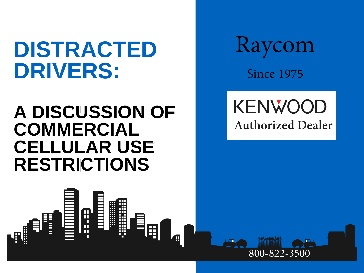# **DISTRACTED DRIVERS:**

## **A DISCUSSION OF COMMERCIAL CELLULAR USE RESTRICTIONS**

m<br>H

H

I

**MOTOROLA RESTRICTED** 

Raycom Since 1975

## **KENWOOD Authorized Dealer**

800-822-3500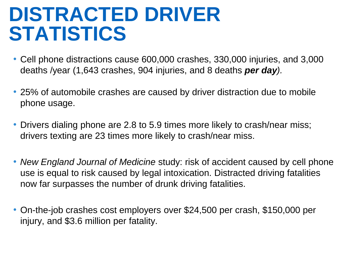## **DISTRACTED DRIVER STATISTICS**

- Cell phone distractions cause 600,000 crashes, 330,000 injuries, and 3,000 deaths /year (1,643 crashes, 904 injuries, and 8 deaths *per day).*
- 25% of automobile crashes are caused by driver distraction due to mobile phone usage.
- Drivers dialing phone are 2.8 to 5.9 times more likely to crash/near miss; drivers texting are 23 times more likely to crash/near miss.
- *New England Journal of Medicine* study: risk of accident caused by cell phone use is equal to risk caused by legal intoxication. Distracted driving fatalities now far surpasses the number of drunk driving fatalities.
- On-the-job crashes cost employers over \$24,500 per crash, \$150,000 per injury, and \$3.6 million per fatality.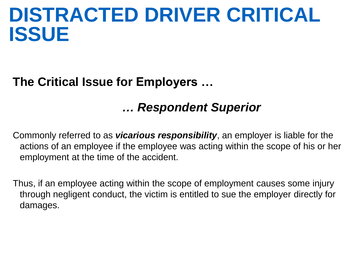## **DISTRACTED DRIVER CRITICAL ISSUE**

### **The Critical Issue for Employers …**

### *… Respondent Superior*

Commonly referred to as *vicarious responsibility*, an employer is liable for the actions of an employee if the employee was acting within the scope of his or her employment at the time of the accident.

Thus, if an employee acting within the scope of employment causes some injury through negligent conduct, the victim is entitled to sue the employer directly for damages.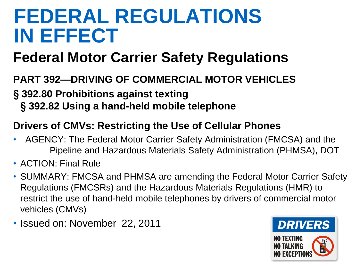## **FEDERAL REGULATIONS IN EFFECT**

## **Federal Motor Carrier Safety Regulations**

#### **PART 392—DRIVING OF COMMERCIAL MOTOR VEHICLES**

### § **392.80 Prohibitions against texting**

§ **392.82 Using a hand-held mobile telephone**

#### **Drivers of CMVs: Restricting the Use of Cellular Phones**

- AGENCY: The Federal Motor Carrier Safety Administration (FMCSA) and the Pipeline and Hazardous Materials Safety Administration (PHMSA), DOT
- ACTION: Final Rule
- SUMMARY: FMCSA and PHMSA are amending the Federal Motor Carrier Safety Regulations (FMCSRs) and the Hazardous Materials Regulations (HMR) to restrict the use of hand-held mobile telephones by drivers of commercial motor vehicles (CMVs)
- Issued on: November 22, 2011

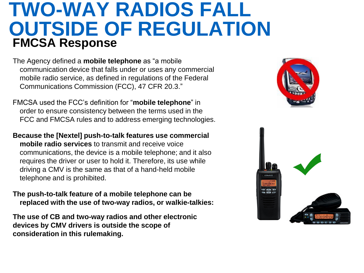## **TWO-WAY RADIOS FALL OUTSIDE OF REGULATION FMCSA Response**

The Agency defined a **mobile telephone** as "a mobile communication device that falls under or uses any commercial mobile radio service, as defined in regulations of the Federal Communications Commission (FCC), 47 CFR 20.3."

FMCSA used the FCC's definition for "**mobile telephone**" in order to ensure consistency between the terms used in the FCC and FMCSA rules and to address emerging technologies.

**Because the [Nextel] push-to-talk features use commercial mobile radio services** to transmit and receive voice communications, the device is a mobile telephone; and it also requires the driver or user to hold it. Therefore, its use while driving a CMV is the same as that of a hand-held mobile telephone and is prohibited.

**The push-to-talk feature of a mobile telephone can be replaced with the use of two-way radios, or walkie-talkies:** 

**The use of CB and two-way radios and other electronic devices by CMV drivers is outside the scope of consideration in this rulemaking.** 

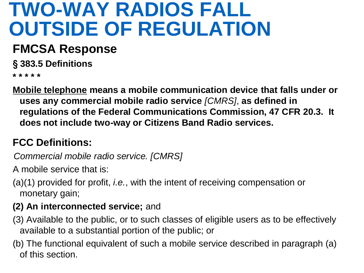## **TWO-WAY RADIOS FALL OUTSIDE OF REGULATION**

## **FMCSA Response**

§ **383.5 Definitions**

**\* \* \* \* \*** 

**Mobile telephone means a mobile communication device that falls under or uses any commercial mobile radio service** *[CMRS]*, **as defined in regulations of the Federal Communications Commission, 47 CFR 20.3. It does not include two-way or Citizens Band Radio services.** 

### **FCC Definitions:**

*Commercial mobile radio service. [CMRS]*

A mobile service that is:

(a)(1) provided for profit, *i.e.*, with the intent of receiving compensation or monetary gain;

#### **(2) An interconnected service;** and

- (3) Available to the public, or to such classes of eligible users as to be effectively available to a substantial portion of the public; or
- (b) The functional equivalent of such a mobile service described in paragraph (a) of this section.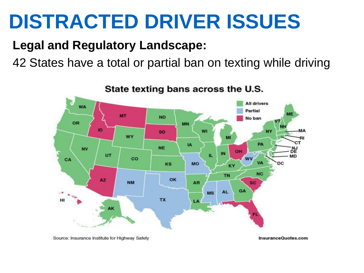# **DISTRACTED DRIVER ISSUES**

### **Legal and Regulatory Landscape:**

42 States have a total or partial ban on texting while driving



State texting bans across the U.S.

Source: Insurance Institute for Highway Safety

InsuranceQuotes.com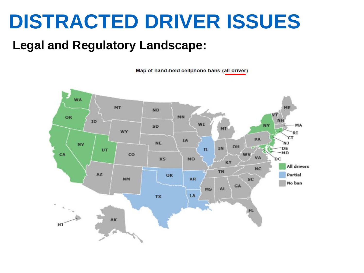# **DISTRACTED DRIVER ISSUES**

### **Legal and Regulatory Landscape:**

Map of hand-held cellphone bans (all driver)

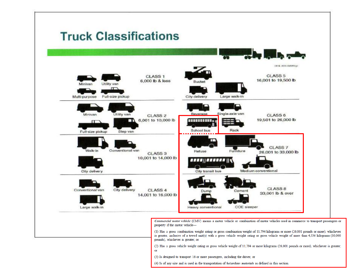### **Truck Classifications**

| Utility van<br>Minivan<br>$\Box$<br>Full-size pickup<br>Multi-purpose | <b>CLASS 1</b><br>6,000 lb & less         | Bucket<br>City delivery                                       | 1311M. 2600-008358tgc<br><b>CLASS 5</b><br>16,001 to 19,500 lb<br>Large walk-in |  |
|-----------------------------------------------------------------------|-------------------------------------------|---------------------------------------------------------------|---------------------------------------------------------------------------------|--|
| Utility van<br>Minivan<br>$\Gamma$<br>Full-size pickup<br>Step van    | <b>CLASS 2</b><br>6,001 to 10,000 lb<br>m | Reverage<br><b>HEELHEEL</b><br>School bus                     | Single-axle van<br>CLASS <sub>6</sub><br>19,501 to 26,000 lb<br>Rack            |  |
| Walk-in<br>Conventional van<br>City delivery                          | CLASS <sub>3</sub><br>10,001 to 14,000 lb | Refuse<br><i><b>ASSE!! EXERCE !!!</b></i><br>City transit bus | <b>CLASS 7</b><br>Furniture<br>26,001 to 33,000 lb<br>Medium conventional       |  |
| Conventional van<br>City delivery<br>Large walk-in                    | CLASS <sub>4</sub><br>14,001 to 16,000 lb | Dump<br>Heavy conventional                                    | CLASS <sub>8</sub><br>Cement<br>33,001 lb & over<br>COE sleeper                 |  |

pounds), whichever is greater; or (2) Has a gross vehicle weight rating or gross vehicle weight of 11,794 or more kilograms (26,001 pounds or more), whichever is greater; or

- (3) Is designed to transport 16 or more passengers, including the driver; or
- (4) Is of any size and is used in the transportation of hazardous materials as defined in this section.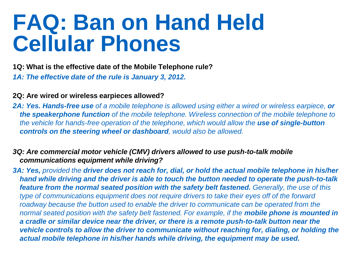# **FAQ: Ban on Hand Held Cellular Phones**

#### **1Q: What is the effective date of the Mobile Telephone rule?**  *1A: The effective date of the rule is January 3, 2012.*

#### **2Q: Are wired or wireless earpieces allowed?**

2A: Yes. Hands-free use of a mobile telephone is allowed using either a wired or wireless earpiece, or *the speakerphone function of the mobile telephone. Wireless connection of the mobile telephone to the vehicle for hands-free operation of the telephone, which would allow the use of single-button controls on the steering wheel or dashboard, would also be allowed.* 

#### *3Q: Are commercial motor vehicle (CMV) drivers allowed to use push-to-talk mobile communications equipment while driving?*

*3A: Yes, provided the driver does not reach for, dial, or hold the actual mobile telephone in his/her hand while driving and the driver is able to touch the button needed to operate the push-to-talk feature from the normal seated position with the safety belt fastened. Generally, the use of this type of communications equipment does not require drivers to take their eyes off of the forward roadway because the button used to enable the driver to communicate can be operated from the normal seated position with the safety belt fastened. For example, if the mobile phone is mounted in a cradle or similar device near the driver, or there is a remote push-to-talk button near the vehicle controls to allow the driver to communicate without reaching for, dialing, or holding the actual mobile telephone in his/her hands while driving, the equipment may be used.*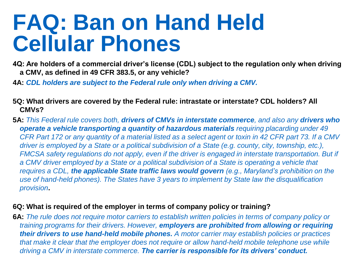# **FAQ: Ban on Hand Held Cellular Phones**

- **4Q: Are holders of a commercial driver's license (CDL) subject to the regulation only when driving a CMV, as defined in 49 CFR 383.5, or any vehicle?**
- **4A:** *CDL holders are subject to the Federal rule only when driving a CMV.*
- **5Q: What drivers are covered by the Federal rule: intrastate or interstate? CDL holders? All CMVs?**
- **5A:** *This Federal rule covers both, drivers of CMVs in interstate commerce, and also any drivers who operate a vehicle transporting a quantity of hazardous materials requiring placarding under 49 CFR Part 172 or any quantity of a material listed as a select agent or toxin in 42 CFR part 73. If a CMV driver is employed by a State or a political subdivision of a State (e.g. county, city, township, etc.), FMCSA safety regulations do not apply, even if the driver is engaged in interstate transportation. But if a CMV driver employed by a State or a political subdivision of a State is operating a vehicle that requires a CDL, the applicable State traffic laws would govern (e.g., Maryland's prohibition on the use of hand-held phones). The States have 3 years to implement by State law the disqualification provision***.**

#### **6Q: What is required of the employer in terms of company policy or training?**

**6A:** *The rule does not require motor carriers to establish written policies in terms of company policy or training programs for their drivers. However, employers are prohibited from allowing or requiring their drivers to use hand-held mobile phones. A motor carrier may establish policies or practices that make it clear that the employer does not require or allow hand-held mobile telephone use while driving a CMV in interstate commerce. The carrier is responsible for its drivers' conduct.*